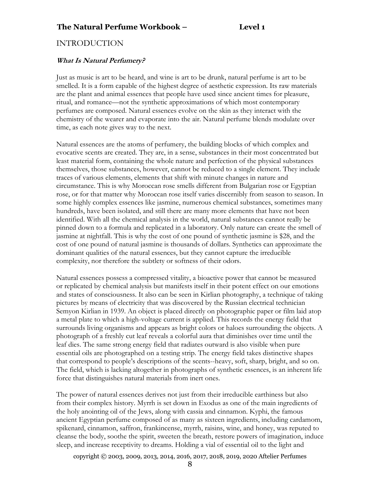# INTRODUCTION

#### **What Is Natural Perfumery?**

Just as music is art to be heard, and wine is art to be drunk, natural perfume is art to be smelled. It is a form capable of the highest degree of aesthetic expression. Its raw materials are the plant and animal essences that people have used since ancient times for pleasure, ritual, and romance—not the synthetic approximations of which most contemporary perfumes are composed. Natural essences evolve on the skin as they interact with the chemistry of the wearer and evaporate into the air. Natural perfume blends modulate over time, as each note gives way to the next.

Natural essences are the atoms of perfumery, the building blocks of which complex and evocative scents are created. They are, in a sense, substances in their most concentrated but least material form, containing the whole nature and perfection of the physical substances themselves, those substances, however, cannot be reduced to a single element. They include traces of various elements, elements that shift with minute changes in nature and circumstance. This is why Moroccan rose smells different from Bulgarian rose or Egyptian rose, or for that matter why Moroccan rose itself varies discernibly from season to season. In some highly complex essences like jasmine, numerous chemical substances, sometimes many hundreds, have been isolated, and still there are many more elements that have not been identified. With all the chemical analysis in the world, natural substances cannot really be pinned down to a formula and replicated in a laboratory. Only nature can create the smell of jasmine at nightfall. This is why the cost of one pound of synthetic jasmine is \$28, and the cost of one pound of natural jasmine is thousands of dollars. Synthetics can approximate the dominant qualities of the natural essences, but they cannot capture the irreducible complexity, nor therefore the subtlety or softness of their odors.

Natural essences possess a compressed vitality, a bioactive power that cannot be measured or replicated by chemical analysis but manifests itself in their potent effect on our emotions and states of consciousness. It also can be seen in Kirlian photography, a technique of taking pictures by means of electricity that was discovered by the Russian electrical technician Semyon Kirlian in 1939. An object is placed directly on photographic paper or film laid atop a metal plate to which a high-voltage current is applied. This records the energy field that surrounds living organisms and appears as bright colors or haloes surrounding the objects. A photograph of a freshly cut leaf reveals a colorful aura that diminishes over time until the leaf dies. The same strong energy field that radiates outward is also visible when pure essential oils are photographed on a testing strip. The energy field takes distinctive shapes that correspond to people's descriptions of the scents--heavy, soft, sharp, bright, and so on. The field, which is lacking altogether in photographs of synthetic essences, is an inherent life force that distinguishes natural materials from inert ones.

The power of natural essences derives not just from their irreducible earthiness but also from their complex history. Myrrh is set down in Exodus as one of the main ingredients of the holy anointing oil of the Jews, along with cassia and cinnamon. Kyphi, the famous ancient Egyptian perfume composed of as many as sixteen ingredients, including cardamom, spikenard, cinnamon, saffron, frankincense, myrrh, raisins, wine, and honey, was reputed to cleanse the body, soothe the spirit, sweeten the breath, restore powers of imagination, induce sleep, and increase receptivity to dreams. Holding a vial of essential oil to the light and

copyright © 2003, 2009, 2013, 2014, 2016, 2017, 2018, 2019, 2020 Aftelier Perfumes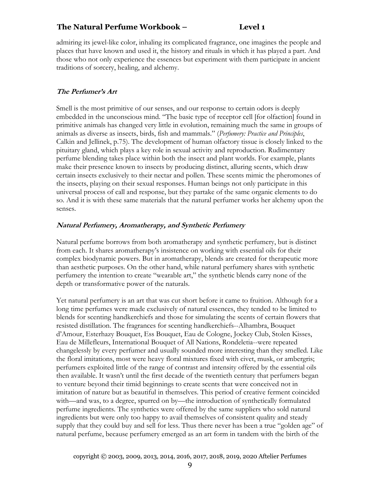# **The Natural Perfume Workbook – Level 1**

admiring its jewel-like color, inhaling its complicated fragrance, one imagines the people and places that have known and used it, the history and rituals in which it has played a part. And those who not only experience the essences but experiment with them participate in ancient traditions of sorcery, healing, and alchemy.

# **The Perfumer's Art**

Smell is the most primitive of our senses, and our response to certain odors is deeply embedded in the unconscious mind. "The basic type of receptor cell [for olfaction] found in primitive animals has changed very little in evolution, remaining much the same in groups of animals as diverse as insects, birds, fish and mammals." (*Perfumery: Practice and Principles*, Calkin and Jellinek, p.75). The development of human olfactory tissue is closely linked to the pituitary gland, which plays a key role in sexual activity and reproduction. Rudimentary perfume blending takes place within both the insect and plant worlds. For example, plants make their presence known to insects by producing distinct, alluring scents, which draw certain insects exclusively to their nectar and pollen. These scents mimic the pheromones of the insects, playing on their sexual responses. Human beings not only participate in this universal process of call and response, but they partake of the same organic elements to do so. And it is with these same materials that the natural perfumer works her alchemy upon the senses.

#### **Natural Perfumery, Aromatherapy, and Synthetic Perfumery**

Natural perfume borrows from both aromatherapy and synthetic perfumery, but is distinct from each. It shares aromatherapy's insistence on working with essential oils for their complex biodynamic powers. But in aromatherapy, blends are created for therapeutic more than aesthetic purposes. On the other hand, while natural perfumery shares with synthetic perfumery the intention to create "wearable art," the synthetic blends carry none of the depth or transformative power of the naturals.

Yet natural perfumery is an art that was cut short before it came to fruition. Although for a long time perfumes were made exclusively of natural essences, they tended to be limited to blends for scenting handkerchiefs and those for simulating the scents of certain flowers that resisted distillation. The fragrances for scenting handkerchiefs--Alhambra, Bouquet d'Amour, Esterhazy Bouquet, Ess Bouquet, Eau de Cologne, Jockey Club, Stolen Kisses, Eau de Millefleurs, International Bouquet of All Nations, Rondeletia--were repeated changelessly by every perfumer and usually sounded more interesting than they smelled. Like the floral imitations, most were heavy floral mixtures fixed with civet, musk, or ambergris; perfumers exploited little of the range of contrast and intensity offered by the essential oils then available. It wasn't until the first decade of the twentieth century that perfumers began to venture beyond their timid beginnings to create scents that were conceived not in imitation of nature but as beautiful in themselves. This period of creative ferment coincided with—and was, to a degree, spurred on by—the introduction of synthetically formulated perfume ingredients. The synthetics were offered by the same suppliers who sold natural ingredients but were only too happy to avail themselves of consistent quality and steady supply that they could buy and sell for less. Thus there never has been a true "golden age" of natural perfume, because perfumery emerged as an art form in tandem with the birth of the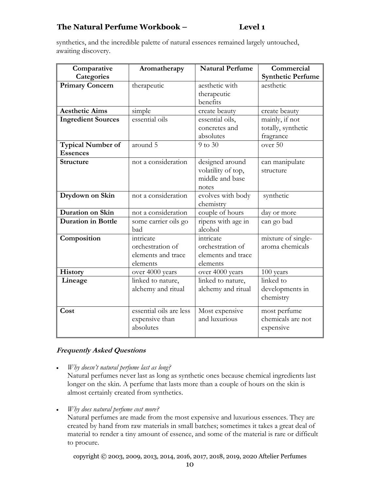# **The Natural Perfume Workbook – Level 1**

synthetics, and the incredible palette of natural essences remained largely untouched, awaiting discovery.

| Comparative<br>Categories            | Aromatherapy                                                    | <b>Natural Perfume</b>                                            | Commercial<br><b>Synthetic Perfume</b>            |
|--------------------------------------|-----------------------------------------------------------------|-------------------------------------------------------------------|---------------------------------------------------|
| <b>Primary Concern</b>               | therapeutic                                                     | aesthetic with<br>therapeutic<br>benefits                         | aesthetic                                         |
| <b>Aesthetic Aims</b>                | simple                                                          | create beauty                                                     | create beauty                                     |
| <b>Ingredient Sources</b>            | essential oils                                                  | essential oils,<br>concretes and<br>absolutes                     | mainly, if not<br>totally, synthetic<br>fragrance |
| Typical Number of<br><b>Essences</b> | around 5                                                        | 9 to 30                                                           | over 50                                           |
| Structure                            | not a consideration                                             | designed around<br>volatility of top,<br>middle and base<br>notes | can manipulate<br>structure                       |
| Drydown on Skin                      | not a consideration                                             | evolves with body<br>chemistry                                    | synthetic                                         |
| Duration on Skin                     | not a consideration                                             | couple of hours                                                   | day or more                                       |
| <b>Duration in Bottle</b>            | some carrier oils go<br>bad                                     | ripens with age in<br>alcohol                                     | can go bad                                        |
| Composition                          | intricate<br>orchestration of<br>elements and trace<br>elements | intricate<br>orchestration of<br>elements and trace<br>elements   | mixture of single-<br>aroma chemicals             |
| History                              | over 4000 years                                                 | over 4000 years                                                   | 100 years                                         |
| Lineage                              | linked to nature,<br>alchemy and ritual                         | linked to nature,<br>alchemy and ritual                           | linked to<br>developments in<br>chemistry         |
| Cost                                 | essential oils are less<br>expensive than<br>absolutes          | Most expensive<br>and luxurious                                   | most perfume<br>chemicals are not<br>expensive    |

# **Frequently Asked Questions**

- *Why doesn't natural perfume last as long?* Natural perfumes never last as long as synthetic ones because chemical ingredients last longer on the skin. A perfume that lasts more than a couple of hours on the skin is almost certainly created from synthetics.
- *Why does natural perfume cost more?*

Natural perfumes are made from the most expensive and luxurious essences. They are created by hand from raw materials in small batches; sometimes it takes a great deal of material to render a tiny amount of essence, and some of the material is rare or difficult to procure.

copyright © 2003, 2009, 2013, 2014, 2016, 2017, 2018, 2019, 2020 Aftelier Perfumes